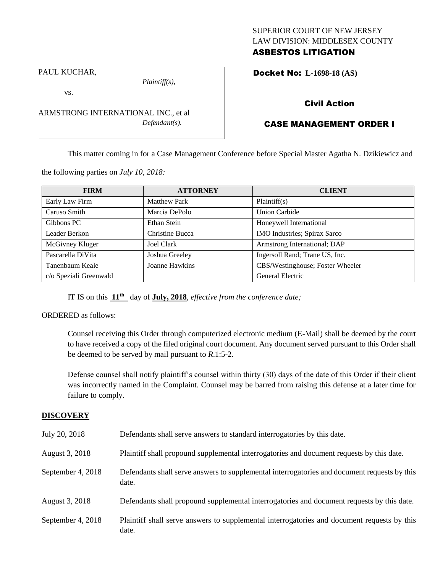## SUPERIOR COURT OF NEW JERSEY LAW DIVISION: MIDDLESEX COUNTY ASBESTOS LITIGATION

PAUL KUCHAR,

*Plaintiff(s),*

Docket No: **L-1698-18 (AS)** 

vs.

ARMSTRONG INTERNATIONAL INC., et al *Defendant(s).*

# Civil Action

# CASE MANAGEMENT ORDER I

This matter coming in for a Case Management Conference before Special Master Agatha N. Dzikiewicz and

the following parties on *July 10, 2018:*

| <b>FIRM</b>            | <b>ATTORNEY</b>     | <b>CLIENT</b>                    |
|------------------------|---------------------|----------------------------------|
| Early Law Firm         | <b>Matthew Park</b> | Plaintiff(s)                     |
| Caruso Smith           | Marcia DePolo       | Union Carbide                    |
| Gibbons PC             | Ethan Stein         | Honeywell International          |
| Leader Berkon          | Christine Bucca     | IMO Industries; Spirax Sarco     |
| McGivney Kluger        | <b>Joel Clark</b>   | Armstrong International; DAP     |
| Pascarella DiVita      | Joshua Greeley      | Ingersoll Rand; Trane US, Inc.   |
| Tanenbaum Keale        | Joanne Hawkins      | CBS/Westinghouse; Foster Wheeler |
| c/o Speziali Greenwald |                     | General Electric                 |

IT IS on this **11th** day of **July, 2018**, *effective from the conference date;*

ORDERED as follows:

Counsel receiving this Order through computerized electronic medium (E-Mail) shall be deemed by the court to have received a copy of the filed original court document. Any document served pursuant to this Order shall be deemed to be served by mail pursuant to *R*.1:5-2.

Defense counsel shall notify plaintiff's counsel within thirty (30) days of the date of this Order if their client was incorrectly named in the Complaint. Counsel may be barred from raising this defense at a later time for failure to comply.

## **DISCOVERY**

| July 20, 2018     | Defendants shall serve answers to standard interrogatories by this date.                              |
|-------------------|-------------------------------------------------------------------------------------------------------|
| August 3, 2018    | Plaintiff shall propound supplemental interrogatories and document requests by this date.             |
| September 4, 2018 | Defendants shall serve answers to supplemental interrogatories and document requests by this<br>date. |
| August 3, 2018    | Defendants shall propound supplemental interrogatories and document requests by this date.            |
| September 4, 2018 | Plaintiff shall serve answers to supplemental interrogatories and document requests by this<br>date.  |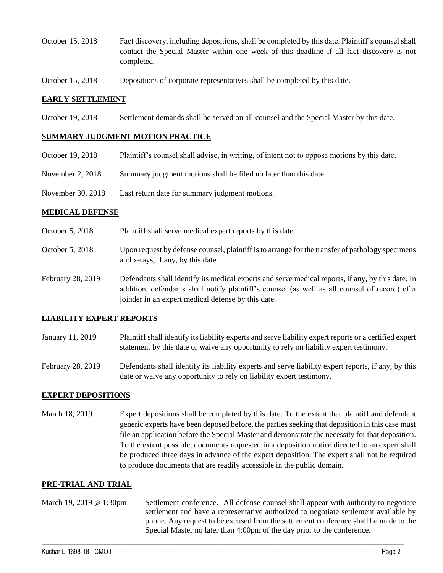- October 15, 2018 Fact discovery, including depositions, shall be completed by this date. Plaintiff's counsel shall contact the Special Master within one week of this deadline if all fact discovery is not completed.
- October 15, 2018 Depositions of corporate representatives shall be completed by this date.

#### **EARLY SETTLEMENT**

October 19, 2018 Settlement demands shall be served on all counsel and the Special Master by this date.

### **SUMMARY JUDGMENT MOTION PRACTICE**

- October 19, 2018 Plaintiff's counsel shall advise, in writing, of intent not to oppose motions by this date.
- November 2, 2018 Summary judgment motions shall be filed no later than this date.
- November 30, 2018 Last return date for summary judgment motions.

#### **MEDICAL DEFENSE**

- October 5, 2018 Plaintiff shall serve medical expert reports by this date.
- October 5, 2018 Upon request by defense counsel, plaintiff is to arrange for the transfer of pathology specimens and x-rays, if any, by this date.
- February 28, 2019 Defendants shall identify its medical experts and serve medical reports, if any, by this date. In addition, defendants shall notify plaintiff's counsel (as well as all counsel of record) of a joinder in an expert medical defense by this date.

### **LIABILITY EXPERT REPORTS**

- January 11, 2019 Plaintiff shall identify its liability experts and serve liability expert reports or a certified expert statement by this date or waive any opportunity to rely on liability expert testimony.
- February 28, 2019 Defendants shall identify its liability experts and serve liability expert reports, if any, by this date or waive any opportunity to rely on liability expert testimony.

### **EXPERT DEPOSITIONS**

March 18, 2019 Expert depositions shall be completed by this date. To the extent that plaintiff and defendant generic experts have been deposed before, the parties seeking that deposition in this case must file an application before the Special Master and demonstrate the necessity for that deposition. To the extent possible, documents requested in a deposition notice directed to an expert shall be produced three days in advance of the expert deposition. The expert shall not be required to produce documents that are readily accessible in the public domain.

#### **PRE-TRIAL AND TRIAL**

March 19, 2019 @ 1:30pm Settlement conference. All defense counsel shall appear with authority to negotiate settlement and have a representative authorized to negotiate settlement available by phone. Any request to be excused from the settlement conference shall be made to the Special Master no later than 4:00pm of the day prior to the conference.

 $\_$  ,  $\_$  ,  $\_$  ,  $\_$  ,  $\_$  ,  $\_$  ,  $\_$  ,  $\_$  ,  $\_$  ,  $\_$  ,  $\_$  ,  $\_$  ,  $\_$  ,  $\_$  ,  $\_$  ,  $\_$  ,  $\_$  ,  $\_$  ,  $\_$  ,  $\_$  ,  $\_$  ,  $\_$  ,  $\_$  ,  $\_$  ,  $\_$  ,  $\_$  ,  $\_$  ,  $\_$  ,  $\_$  ,  $\_$  ,  $\_$  ,  $\_$  ,  $\_$  ,  $\_$  ,  $\_$  ,  $\_$  ,  $\_$  ,